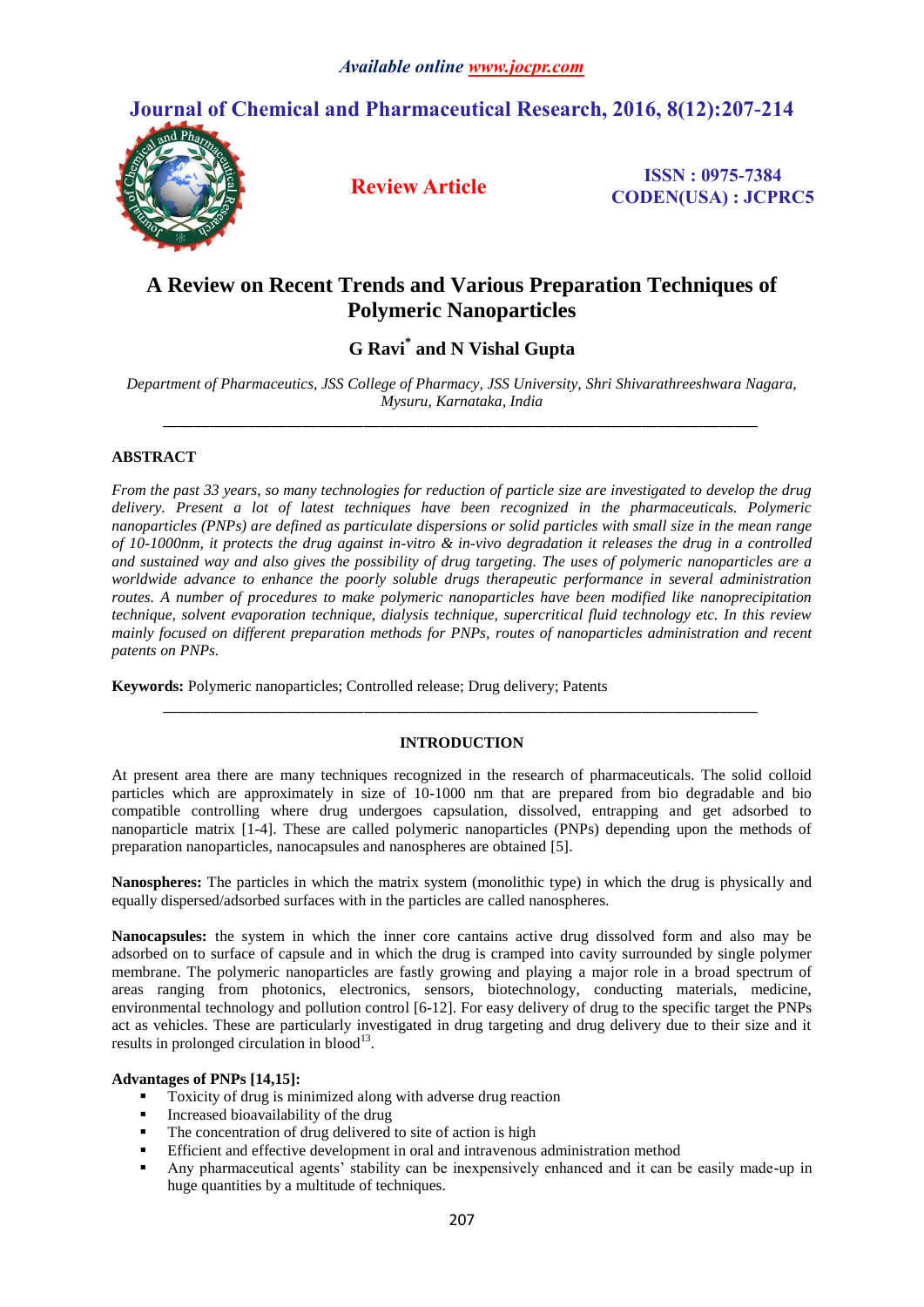

# **A Review on Recent Trends and Various Preparation Techniques of Polymeric Nanoparticles**

# **G Ravi\* and N Vishal Gupta**

*Department of Pharmaceutics, JSS College of Pharmacy, JSS University, Shri Shivarathreeshwara Nagara, Mysuru, Karnataka, India \_\_\_\_\_\_\_\_\_\_\_\_\_\_\_\_\_\_\_\_\_\_\_\_\_\_\_\_\_\_\_\_\_\_\_\_\_\_\_\_\_\_\_\_\_\_\_\_\_\_\_\_\_\_\_\_\_\_\_\_\_\_\_\_\_\_\_\_\_\_\_\_\_\_\_\_\_*

## **ABSTRACT**

*From the past 33 years, so many technologies for reduction of particle size are investigated to develop the drug delivery. Present a lot of latest techniques have been recognized in the pharmaceuticals. Polymeric nanoparticles (PNPs) are defined as particulate dispersions or solid particles with small size in the mean range of 10-1000nm, it protects the drug against in-vitro & in-vivo degradation it releases the drug in a controlled and sustained way and also gives the possibility of drug targeting. The uses of polymeric nanoparticles are a worldwide advance to enhance the poorly soluble drugs therapeutic performance in several administration routes. A number of procedures to make polymeric nanoparticles have been modified like nanoprecipitation technique, solvent evaporation technique, dialysis technique, supercritical fluid technology etc. In this review mainly focused on different preparation methods for PNPs, routes of nanoparticles administration and recent patents on PNPs.*

**Keywords:** Polymeric nanoparticles; Controlled release; Drug delivery; Patents

## **INTRODUCTION**

*\_\_\_\_\_\_\_\_\_\_\_\_\_\_\_\_\_\_\_\_\_\_\_\_\_\_\_\_\_\_\_\_\_\_\_\_\_\_\_\_\_\_\_\_\_\_\_\_\_\_\_\_\_\_\_\_\_\_\_\_\_\_\_\_\_\_\_\_\_\_\_\_\_\_\_\_\_*

At present area there are many techniques recognized in the research of pharmaceuticals. The solid colloid particles which are approximately in size of 10-1000 nm that are prepared from bio degradable and bio compatible controlling where drug undergoes capsulation, dissolved, entrapping and get adsorbed to nanoparticle matrix [1-4]. These are called polymeric nanoparticles (PNPs) depending upon the methods of preparation nanoparticles, nanocapsules and nanospheres are obtained [5].

**Nanospheres:** The particles in which the matrix system (monolithic type) in which the drug is physically and equally dispersed/adsorbed surfaces with in the particles are called nanospheres.

**Nanocapsules:** the system in which the inner core cantains active drug dissolved form and also may be adsorbed on to surface of capsule and in which the drug is cramped into cavity surrounded by single polymer membrane. The polymeric nanoparticles are fastly growing and playing a major role in a broad spectrum of areas ranging from photonics, electronics, sensors, biotechnology, conducting materials, medicine, environmental technology and pollution control [6-12]. For easy delivery of drug to the specific target the PNPs act as vehicles. These are particularly investigated in drug targeting and drug delivery due to their size and it results in prolonged circulation in blood $^{13}$ .

## **Advantages of PNPs [14,15]:**

- Toxicity of drug is minimized along with adverse drug reaction
- Increased bioavailability of the drug
- The concentration of drug delivered to site of action is high
- Efficient and effective development in oral and intravenous administration method
- Any pharmaceutical agents' stability can be inexpensively enhanced and it can be easily made-up in huge quantities by a multitude of techniques.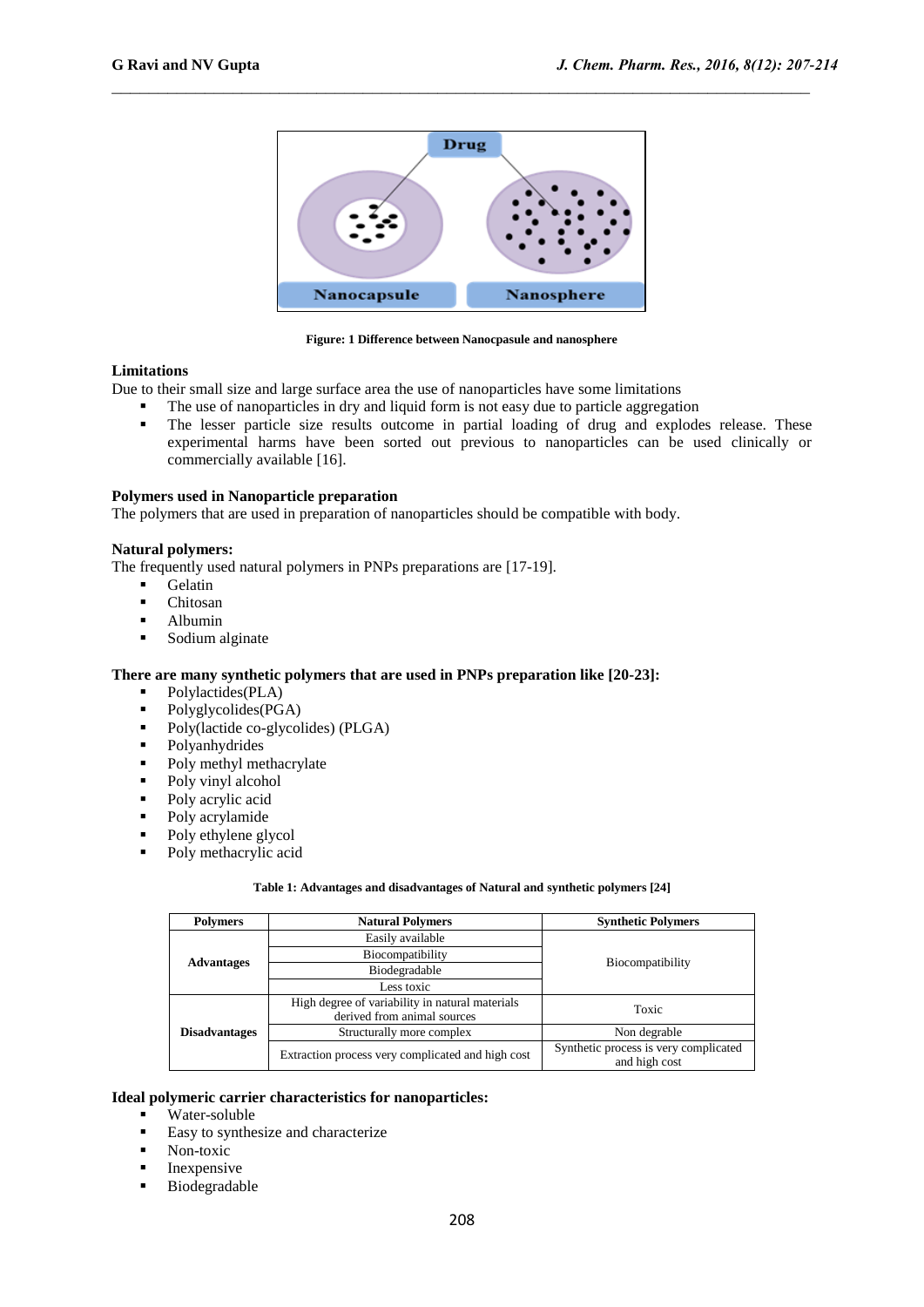

**Figure: 1 Difference between Nanocpasule and nanosphere**

#### **Limitations**

Due to their small size and large surface area the use of nanoparticles have some limitations

- The use of nanoparticles in dry and liquid form is not easy due to particle aggregation
- The lesser particle size results outcome in partial loading of drug and explodes release. These experimental harms have been sorted out previous to nanoparticles can be used clinically or commercially available [16].

#### **Polymers used in Nanoparticle preparation**

The polymers that are used in preparation of nanoparticles should be compatible with body.

#### **Natural polymers:**

The frequently used natural polymers in PNPs preparations are [17-19].

- Gelatin
- Chitosan<br>• Albumin
- $\blacksquare$  Albumin
- Sodium alginate

#### **There are many synthetic polymers that are used in PNPs preparation like [20-23]:**

- Polylactides(PLA)
- Polyglycolides(PGA)
- Poly(lactide co-glycolides) (PLGA)
- Polyanhydrides
- Poly methyl methacrylate
- Poly vinyl alcohol
- Poly acrylic acid
- Poly acrylamide
- Poly ethylene glycol
- Poly methacrylic acid

#### **Table 1: Advantages and disadvantages of Natural and synthetic polymers [24]**

| <b>Polymers</b><br><b>Natural Polymers</b> |                                                                                | <b>Synthetic Polymers</b>                              |  |
|--------------------------------------------|--------------------------------------------------------------------------------|--------------------------------------------------------|--|
|                                            | Easily available                                                               |                                                        |  |
| <b>Advantages</b>                          | Biocompatibility                                                               |                                                        |  |
|                                            | <b>Biocompatibility</b><br>Biodegradable                                       |                                                        |  |
|                                            | Less toxic                                                                     |                                                        |  |
| <b>Disadvantages</b>                       | High degree of variability in natural materials<br>derived from animal sources | Toxic                                                  |  |
|                                            | Structurally more complex                                                      | Non degrable                                           |  |
|                                            | Extraction process very complicated and high cost                              | Synthetic process is very complicated<br>and high cost |  |

#### **Ideal polymeric carrier characteristics for nanoparticles:**

- $\overline{\text{Water-soluble}}$
- Easy to synthesize and characterize
- Non-toxic
- $\blacksquare$  Inexpensive
- **Biodegradable**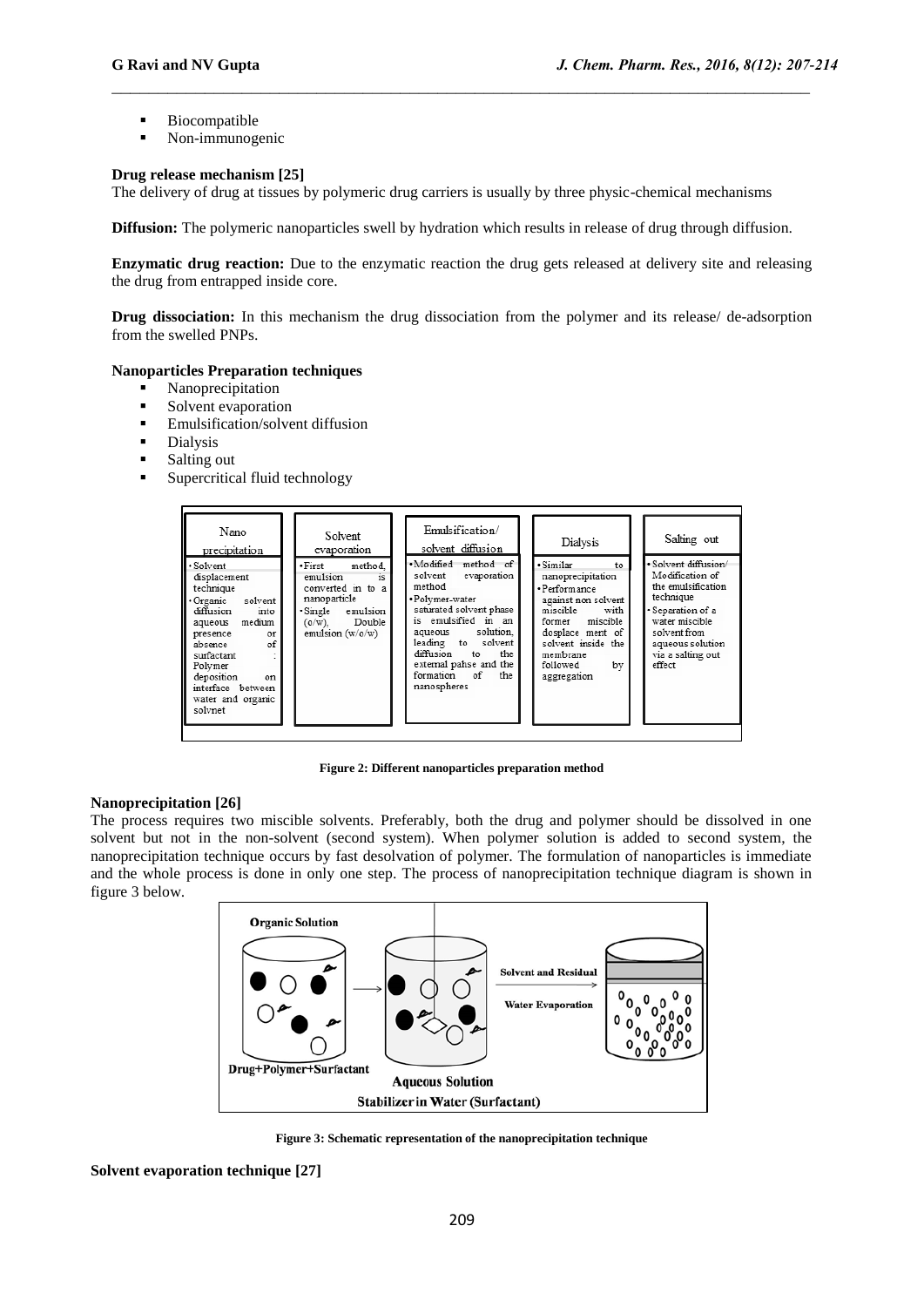- **Biocompatible**
- Non-immunogenic

## **Drug release mechanism [25]**

The delivery of drug at tissues by polymeric drug carriers is usually by three physic-chemical mechanisms

**Diffusion:** The polymeric nanoparticles swell by hydration which results in release of drug through diffusion.

 $\_$  , and the contribution of the contribution of  $\mathcal{L}_\mathcal{A}$  , and the contribution of  $\mathcal{L}_\mathcal{A}$ 

**Enzymatic drug reaction:** Due to the enzymatic reaction the drug gets released at delivery site and releasing the drug from entrapped inside core.

**Drug dissociation:** In this mechanism the drug dissociation from the polymer and its release/ de-adsorption from the swelled PNPs.

#### **Nanoparticles Preparation techniques**

- Nanoprecipitation
- Solvent evaporation
- **Emulsification/solvent diffusion**
- **Dialysis**
- **Salting out**
- Supercritical fluid technology



**Figure 2: Different nanoparticles preparation method**

#### **Nanoprecipitation [26]**

The process requires two miscible solvents. Preferably, both the drug and polymer should be dissolved in one solvent but not in the non-solvent (second system). When polymer solution is added to second system, the nanoprecipitation technique occurs by fast desolvation of polymer. The formulation of nanoparticles is immediate and the whole process is done in only one step. The process of nanoprecipitation technique diagram is shown in figure 3 below.



**Figure 3: Schematic representation of the nanoprecipitation technique**

**Solvent evaporation technique [27]**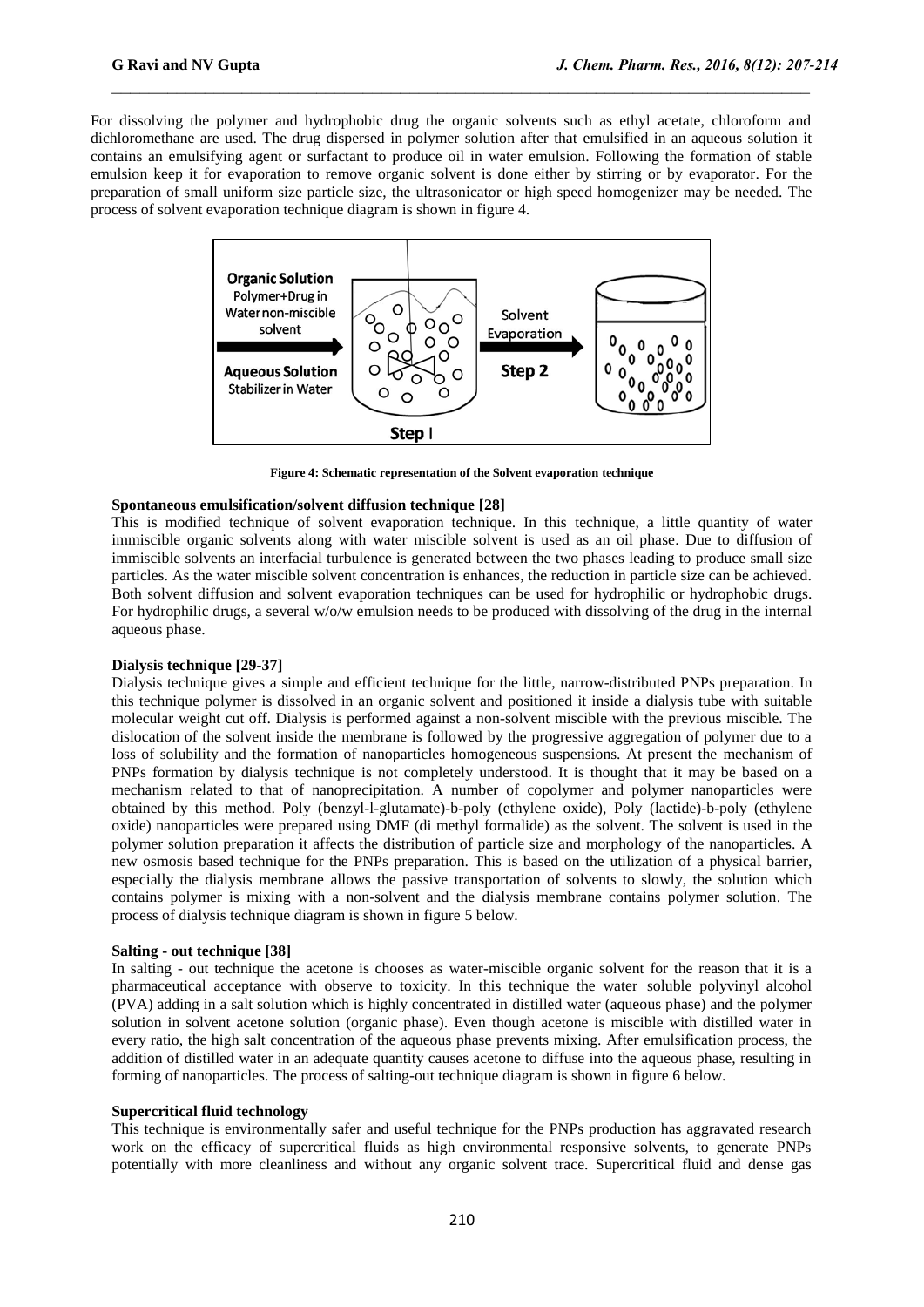For dissolving the polymer and hydrophobic drug the organic solvents such as ethyl acetate, chloroform and dichloromethane are used. The drug dispersed in polymer solution after that emulsified in an aqueous solution it contains an emulsifying agent or surfactant to produce oil in water emulsion. Following the formation of stable emulsion keep it for evaporation to remove organic solvent is done either by stirring or by evaporator. For the preparation of small uniform size particle size, the ultrasonicator or high speed homogenizer may be needed. The process of solvent evaporation technique diagram is shown in figure 4.

 $\_$  , and the contribution of the contribution of  $\mathcal{L}_\mathcal{A}$  , and the contribution of  $\mathcal{L}_\mathcal{A}$ 



**Figure 4: Schematic representation of the Solvent evaporation technique**

## **Spontaneous emulsification/solvent diffusion technique [28]**

This is modified technique of solvent evaporation technique. In this technique, a little quantity of water immiscible organic solvents along with water miscible solvent is used as an oil phase. Due to diffusion of immiscible solvents an interfacial turbulence is generated between the two phases leading to produce small size particles. As the water miscible solvent concentration is enhances, the reduction in particle size can be achieved. Both solvent diffusion and solvent evaporation techniques can be used for hydrophilic or hydrophobic drugs. For hydrophilic drugs, a several w/o/w emulsion needs to be produced with dissolving of the drug in the internal aqueous phase.

#### **Dialysis technique [29-37]**

Dialysis technique gives a simple and efficient technique for the little, narrow-distributed PNPs preparation. In this technique polymer is dissolved in an organic solvent and positioned it inside a dialysis tube with suitable molecular weight cut off. Dialysis is performed against a non-solvent miscible with the previous miscible. The dislocation of the solvent inside the membrane is followed by the progressive aggregation of polymer due to a loss of solubility and the formation of nanoparticles homogeneous suspensions. At present the mechanism of PNPs formation by dialysis technique is not completely understood. It is thought that it may be based on a mechanism related to that of nanoprecipitation. A number of copolymer and polymer nanoparticles were obtained by this method. Poly (benzyl-l-glutamate)-b-poly (ethylene oxide), Poly (lactide)-b-poly (ethylene oxide) nanoparticles were prepared using DMF (di methyl formalide) as the solvent. The solvent is used in the polymer solution preparation it affects the distribution of particle size and morphology of the nanoparticles. A new osmosis based technique for the PNPs preparation. This is based on the utilization of a physical barrier, especially the dialysis membrane allows the passive transportation of solvents to slowly, the solution which contains polymer is mixing with a non-solvent and the dialysis membrane contains polymer solution. The process of dialysis technique diagram is shown in figure 5 below.

#### **Salting - out technique [38]**

In salting - out technique the acetone is chooses as water-miscible organic solvent for the reason that it is a pharmaceutical acceptance with observe to toxicity. In this technique the water soluble polyvinyl alcohol (PVA) adding in a salt solution which is highly concentrated in distilled water (aqueous phase) and the polymer solution in solvent acetone solution (organic phase). Even though acetone is miscible with distilled water in every ratio, the high salt concentration of the aqueous phase prevents mixing. After emulsification process, the addition of distilled water in an adequate quantity causes acetone to diffuse into the aqueous phase, resulting in forming of nanoparticles. The process of salting-out technique diagram is shown in figure 6 below.

#### **Supercritical fluid technology**

This technique is environmentally safer and useful technique for the PNPs production has aggravated research work on the efficacy of supercritical fluids as high environmental responsive solvents, to generate PNPs potentially with more cleanliness and without any organic solvent trace. Supercritical fluid and dense gas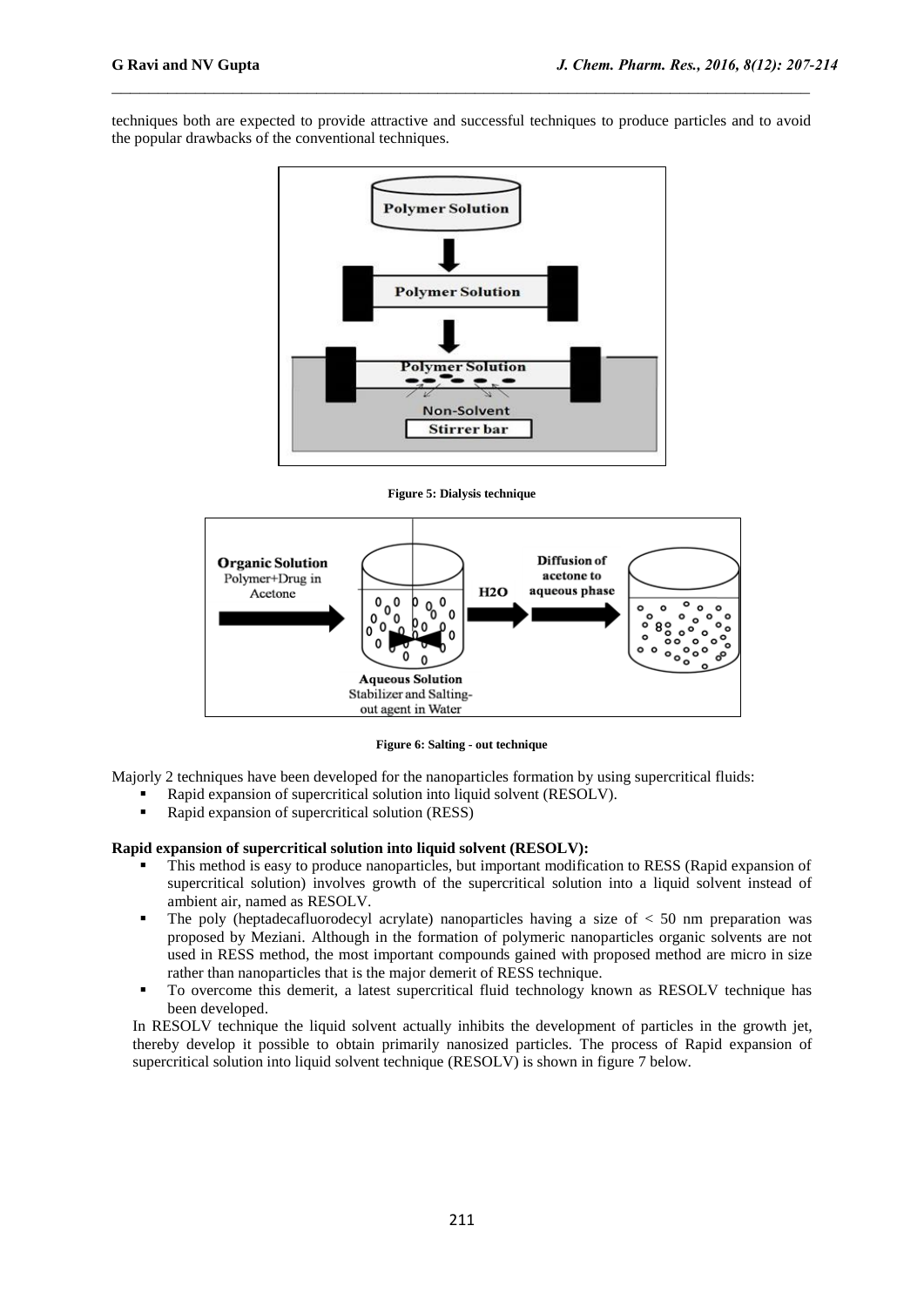techniques both are expected to provide attractive and successful techniques to produce particles and to avoid the popular drawbacks of the conventional techniques.

 $\_$  , and the contribution of the contribution of  $\mathcal{L}_\mathcal{A}$  , and the contribution of  $\mathcal{L}_\mathcal{A}$ 



**Figure 5: Dialysis technique**



**Figure 6: Salting - out technique**

Majorly 2 techniques have been developed for the nanoparticles formation by using supercritical fluids:

- Rapid expansion of supercritical solution into liquid solvent (RESOLV).
- Rapid expansion of supercritical solution (RESS)

## **Rapid expansion of supercritical solution into liquid solvent (RESOLV):**

- This method is easy to produce nanoparticles, but important modification to RESS (Rapid expansion of supercritical solution) involves growth of the supercritical solution into a liquid solvent instead of ambient air, named as RESOLV.
- The poly (heptadecafluorodecyl acrylate) nanoparticles having a size of  $\lt$  50 nm preparation was proposed by Meziani. Although in the formation of polymeric nanoparticles organic solvents are not used in RESS method, the most important compounds gained with proposed method are micro in size rather than nanoparticles that is the major demerit of RESS technique.
- To overcome this demerit, a latest supercritical fluid technology known as RESOLV technique has been developed.

In RESOLV technique the liquid solvent actually inhibits the development of particles in the growth jet, thereby develop it possible to obtain primarily nanosized particles. The process of Rapid expansion of supercritical solution into liquid solvent technique (RESOLV) is shown in figure 7 below.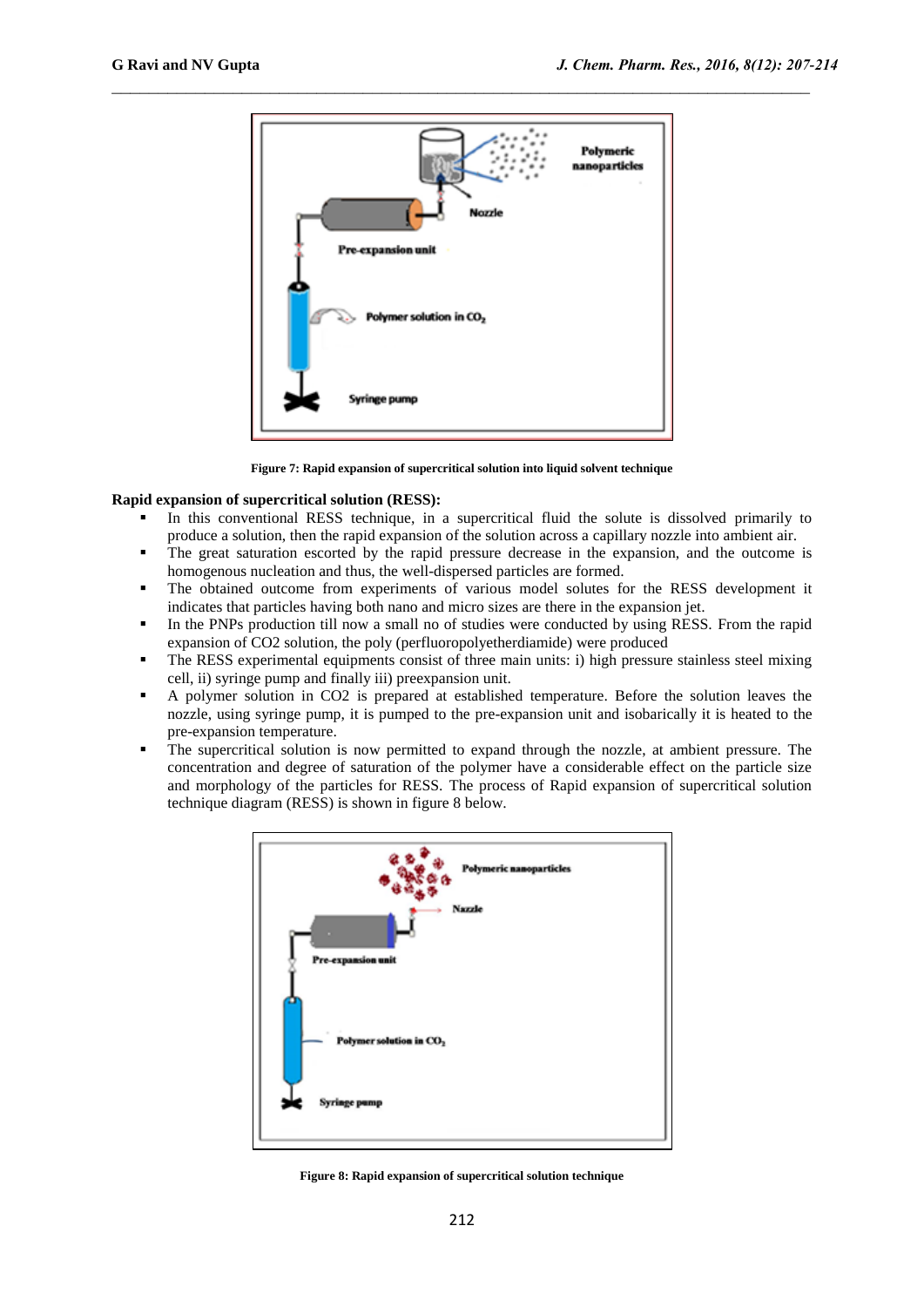

**Figure 7: Rapid expansion of supercritical solution into liquid solvent technique**

#### **Rapid expansion of supercritical solution (RESS):**

- In this conventional RESS technique, in a supercritical fluid the solute is dissolved primarily to produce a solution, then the rapid expansion of the solution across a capillary nozzle into ambient air.
- The great saturation escorted by the rapid pressure decrease in the expansion, and the outcome is homogenous nucleation and thus, the well-dispersed particles are formed.
- The obtained outcome from experiments of various model solutes for the RESS development it indicates that particles having both nano and micro sizes are there in the expansion jet.
- In the PNPs production till now a small no of studies were conducted by using RESS. From the rapid expansion of CO2 solution, the poly (perfluoropolyetherdiamide) were produced
- The RESS experimental equipments consist of three main units: i) high pressure stainless steel mixing cell, ii) syringe pump and finally iii) preexpansion unit.
- A polymer solution in CO2 is prepared at established temperature. Before the solution leaves the nozzle, using syringe pump, it is pumped to the pre-expansion unit and isobarically it is heated to the pre-expansion temperature.
- The supercritical solution is now permitted to expand through the nozzle, at ambient pressure. The concentration and degree of saturation of the polymer have a considerable effect on the particle size and morphology of the particles for RESS. The process of Rapid expansion of supercritical solution technique diagram (RESS) is shown in figure 8 below.



**Figure 8: Rapid expansion of supercritical solution technique**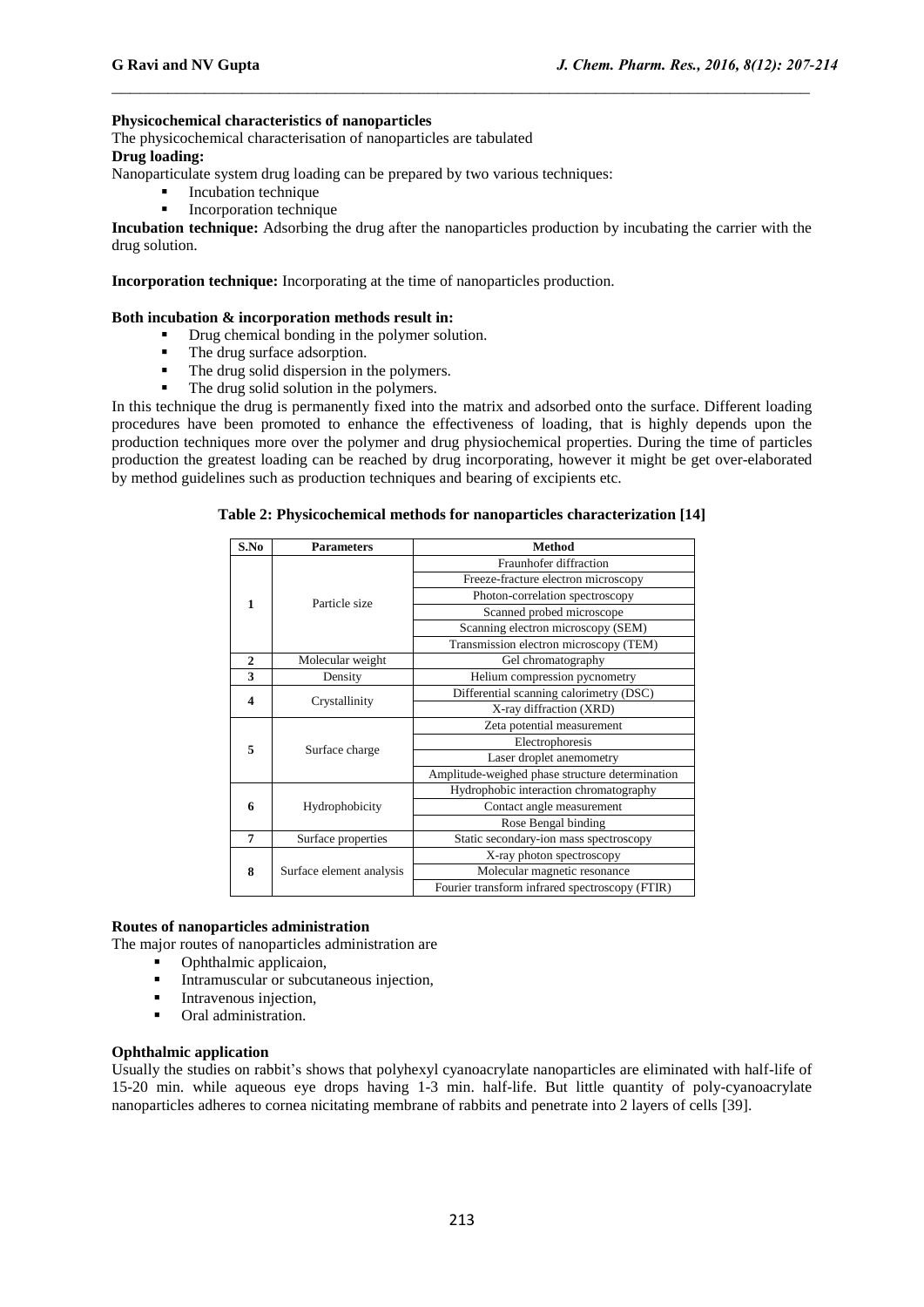#### **Physicochemical characteristics of nanoparticles**

The physicochemical characterisation of nanoparticles are tabulated

## **Drug loading:**

Nanoparticulate system drug loading can be prepared by two various techniques:

- **Incubation technique**
- Incorporation technique

**Incubation technique:** Adsorbing the drug after the nanoparticles production by incubating the carrier with the drug solution.

 $\_$  , and the contribution of the contribution of  $\mathcal{L}_\mathcal{A}$  , and the contribution of  $\mathcal{L}_\mathcal{A}$ 

**Incorporation technique:** Incorporating at the time of nanoparticles production.

#### **Both incubation & incorporation methods result in:**

- Drug chemical bonding in the polymer solution.
- The drug surface adsorption.
- The drug solid dispersion in the polymers.
- The drug solid solution in the polymers.

In this technique the drug is permanently fixed into the matrix and adsorbed onto the surface. Different loading procedures have been promoted to enhance the effectiveness of loading, that is highly depends upon the production techniques more over the polymer and drug physiochemical properties. During the time of particles production the greatest loading can be reached by drug incorporating, however it might be get over-elaborated by method guidelines such as production techniques and bearing of excipients etc.

## **Table 2: Physicochemical methods for nanoparticles characterization [14]**

| S.No           | <b>Parameters</b>        | <b>Method</b>                                   |  |
|----------------|--------------------------|-------------------------------------------------|--|
| 1              |                          | Fraunhofer diffraction                          |  |
|                |                          | Freeze-fracture electron microscopy             |  |
|                | Particle size            | Photon-correlation spectroscopy                 |  |
|                |                          | Scanned probed microscope                       |  |
|                |                          | Scanning electron microscopy (SEM)              |  |
|                |                          | Transmission electron microscopy (TEM)          |  |
| $\overline{2}$ | Molecular weight         | Gel chromatography                              |  |
| 3              | Density                  | Helium compression pycnometry                   |  |
| 4              | Crystallinity            | Differential scanning calorimetry (DSC)         |  |
|                |                          | X-ray diffraction (XRD)                         |  |
| 5              | Surface charge           | Zeta potential measurement                      |  |
|                |                          | Electrophoresis                                 |  |
|                |                          | Laser droplet anemometry                        |  |
|                |                          | Amplitude-weighed phase structure determination |  |
|                | Hydrophobicity           | Hydrophobic interaction chromatography          |  |
| 6              |                          | Contact angle measurement                       |  |
|                |                          | Rose Bengal binding                             |  |
| 7              | Surface properties       | Static secondary-ion mass spectroscopy          |  |
|                |                          | X-ray photon spectroscopy                       |  |
| 8              | Surface element analysis | Molecular magnetic resonance                    |  |
|                |                          | Fourier transform infrared spectroscopy (FTIR)  |  |

#### **Routes of nanoparticles administration**

The major routes of nanoparticles administration are

- Ophthalmic applicaion,
- Intramuscular or subcutaneous injection,
- **Intravenous injection.**
- **•** Oral administration.

#### **Ophthalmic application**

Usually the studies on rabbit's shows that polyhexyl cyanoacrylate nanoparticles are eliminated with half-life of 15-20 min. while aqueous eye drops having 1-3 min. half-life. But little quantity of poly-cyanoacrylate nanoparticles adheres to cornea nicitating membrane of rabbits and penetrate into 2 layers of cells [39].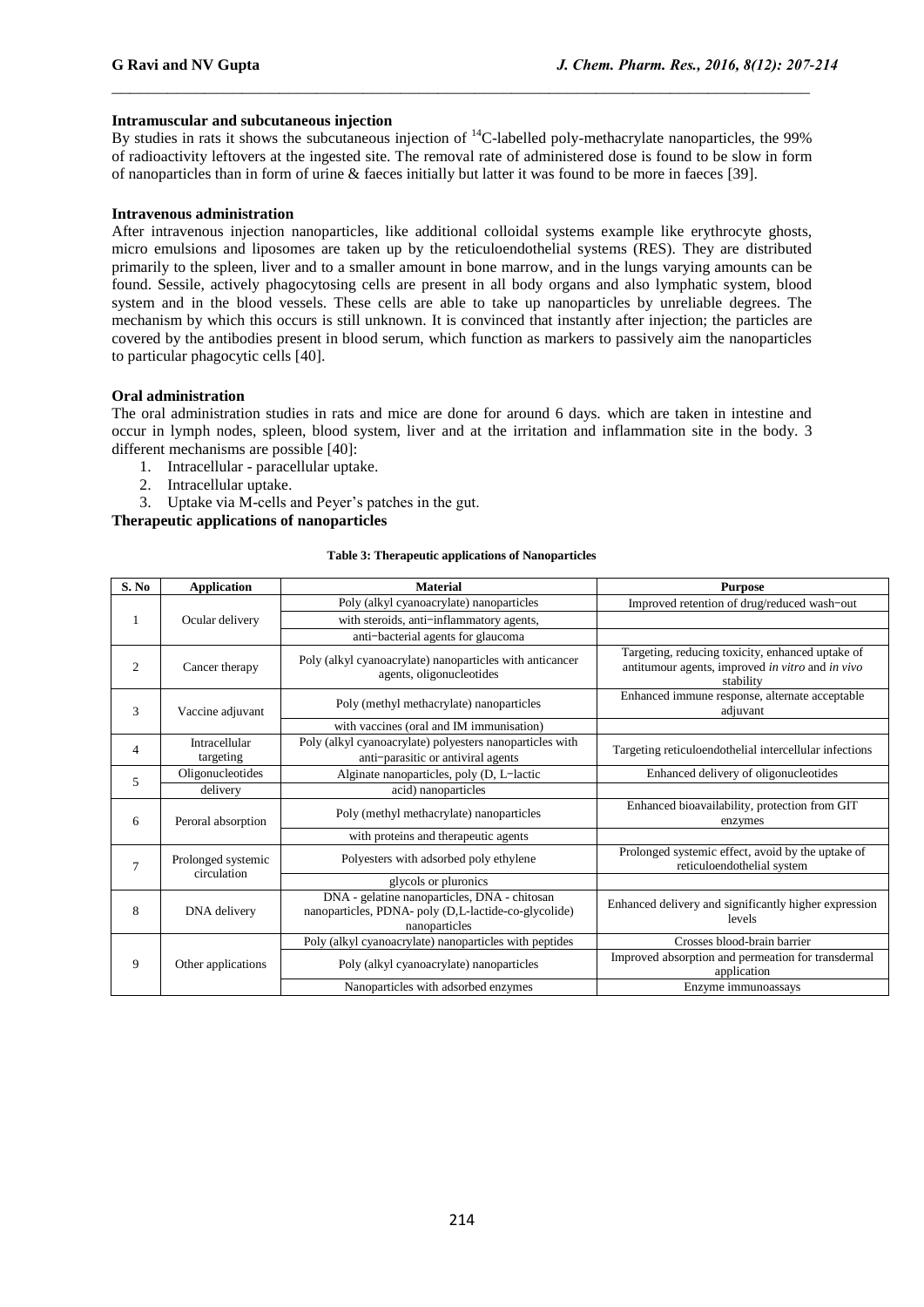## **Intramuscular and subcutaneous injection**

By studies in rats it shows the subcutaneous injection of <sup>14</sup>C-labelled poly-methacrylate nanoparticles, the 99% of radioactivity leftovers at the ingested site. The removal rate of administered dose is found to be slow in form of nanoparticles than in form of urine & faeces initially but latter it was found to be more in faeces [39].

 $\_$  , and the contribution of the contribution of  $\mathcal{L}_\mathcal{A}$  , and the contribution of  $\mathcal{L}_\mathcal{A}$ 

#### **Intravenous administration**

After intravenous injection nanoparticles, like additional colloidal systems example like erythrocyte ghosts, micro emulsions and liposomes are taken up by the reticuloendothelial systems (RES). They are distributed primarily to the spleen, liver and to a smaller amount in bone marrow, and in the lungs varying amounts can be found. Sessile, actively phagocytosing cells are present in all body organs and also lymphatic system, blood system and in the blood vessels. These cells are able to take up nanoparticles by unreliable degrees. The mechanism by which this occurs is still unknown. It is convinced that instantly after injection; the particles are covered by the antibodies present in blood serum, which function as markers to passively aim the nanoparticles to particular phagocytic cells [40].

#### **Oral administration**

The oral administration studies in rats and mice are done for around 6 days. which are taken in intestine and occur in lymph nodes, spleen, blood system, liver and at the irritation and inflammation site in the body. 3 different mechanisms are possible [40]:

- 1. Intracellular paracellular uptake.
- 2. Intracellular uptake.
- 3. Uptake via M-cells and Peyer's patches in the gut.

## **Therapeutic applications of nanoparticles**

#### **Table 3: Therapeutic applications of Nanoparticles**

| S. No | <b>Application</b>                | <b>Material</b>                                                                                                       | <b>Purpose</b>                                                                                                    |
|-------|-----------------------------------|-----------------------------------------------------------------------------------------------------------------------|-------------------------------------------------------------------------------------------------------------------|
| 1     |                                   | Poly (alkyl cyanoacrylate) nanoparticles                                                                              | Improved retention of drug/reduced wash-out                                                                       |
|       | Ocular delivery                   | with steroids, anti-inflammatory agents,                                                                              |                                                                                                                   |
|       |                                   | anti-bacterial agents for glaucoma                                                                                    |                                                                                                                   |
| 2     | Cancer therapy                    | Poly (alkyl cyanoacrylate) nanoparticles with anticancer<br>agents, oligonucleotides                                  | Targeting, reducing toxicity, enhanced uptake of<br>antitumour agents, improved in vitro and in vivo<br>stability |
| 3     | Vaccine adjuvant                  | Poly (methyl methacrylate) nanoparticles                                                                              | Enhanced immune response, alternate acceptable<br>adjuvant                                                        |
|       |                                   | with vaccines (oral and IM immunisation)                                                                              |                                                                                                                   |
| 4     | Intracellular<br>targeting        | Poly (alkyl cyanoacrylate) polyesters nanoparticles with<br>anti-parasitic or antiviral agents                        | Targeting reticuloendothelial intercellular infections                                                            |
| 5     | Oligonucleotides                  | Alginate nanoparticles, poly (D, L-lactic                                                                             | Enhanced delivery of oligonucleotides                                                                             |
|       | delivery                          | acid) nanoparticles                                                                                                   |                                                                                                                   |
| 6     | Peroral absorption                | Poly (methyl methacrylate) nanoparticles                                                                              | Enhanced bioavailability, protection from GIT<br>enzymes                                                          |
|       |                                   | with proteins and therapeutic agents                                                                                  |                                                                                                                   |
| 7     | Prolonged systemic<br>circulation | Polyesters with adsorbed poly ethylene                                                                                | Prolonged systemic effect, avoid by the uptake of<br>reticuloendothelial system                                   |
|       |                                   | glycols or pluronics                                                                                                  |                                                                                                                   |
| 8     | DNA delivery                      | DNA - gelatine nanoparticles, DNA - chitosan<br>nanoparticles, PDNA- poly (D,L-lactide-co-glycolide)<br>nanoparticles | Enhanced delivery and significantly higher expression<br>levels                                                   |
| 9     | Other applications                | Poly (alkyl cyanoacrylate) nanoparticles with peptides                                                                | Crosses blood-brain barrier                                                                                       |
|       |                                   | Poly (alkyl cyanoacrylate) nanoparticles                                                                              | Improved absorption and permeation for transdermal<br>application                                                 |
|       |                                   | Nanoparticles with adsorbed enzymes                                                                                   | Enzyme immunoassays                                                                                               |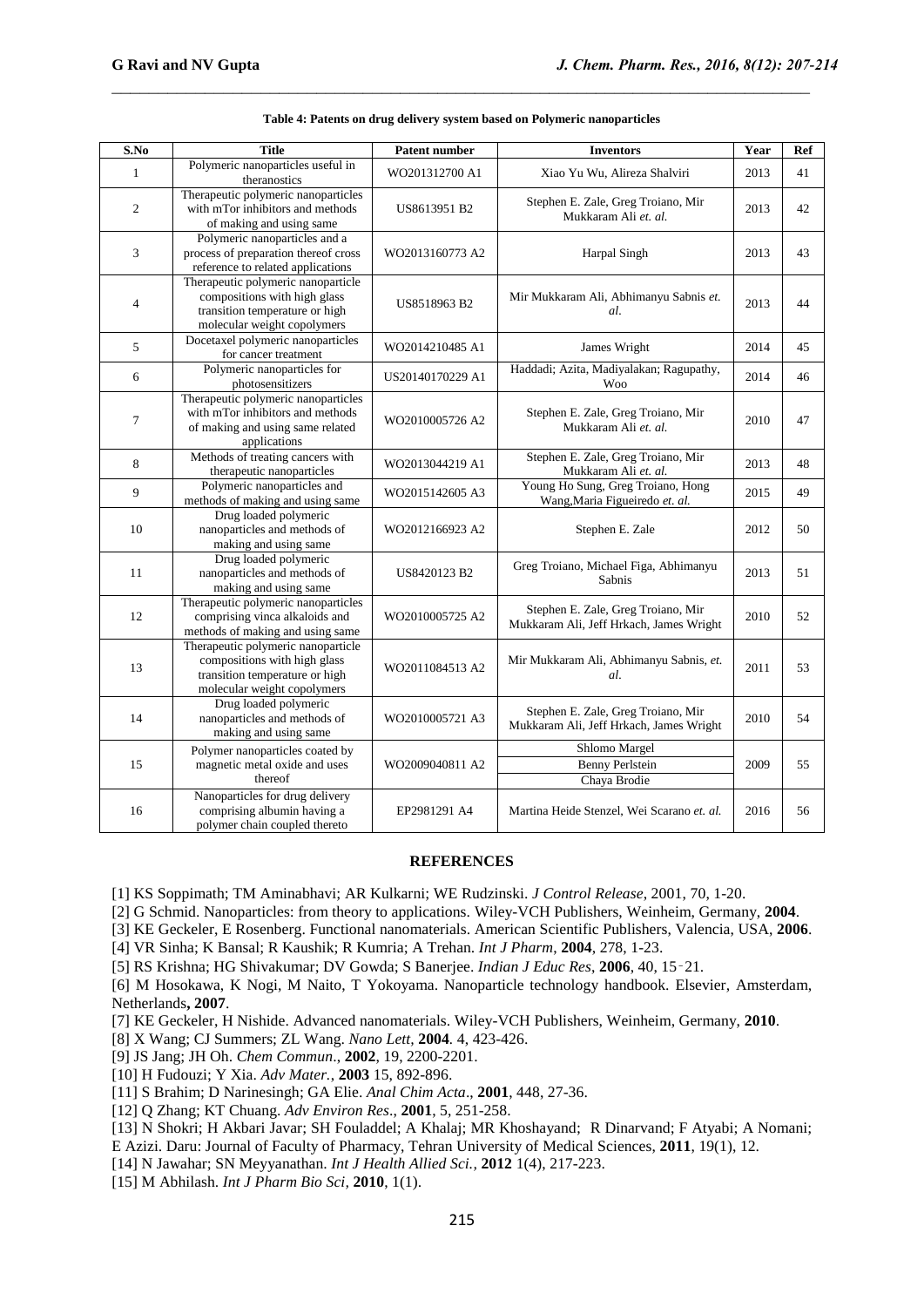| $\overline{\textbf{S}.\textbf{N}}$ o | <b>Title</b>                                                                                                                        | <b>Patent number</b> | <b>Inventors</b>                                                              | Year | Ref |
|--------------------------------------|-------------------------------------------------------------------------------------------------------------------------------------|----------------------|-------------------------------------------------------------------------------|------|-----|
| $\mathbf{1}$                         | Polymeric nanoparticles useful in<br>theranostics                                                                                   | WO201312700 A1       | Xiao Yu Wu, Alireza Shalviri                                                  | 2013 | 41  |
| $\overline{c}$                       | Therapeutic polymeric nanoparticles<br>with mTor inhibitors and methods<br>of making and using same                                 | US8613951 B2         | Stephen E. Zale, Greg Troiano, Mir<br>Mukkaram Ali et. al.                    | 2013 | 42  |
| 3                                    | Polymeric nanoparticles and a<br>process of preparation thereof cross<br>reference to related applications                          | WO2013160773 A2      | Harpal Singh                                                                  | 2013 | 43  |
| $\overline{4}$                       | Therapeutic polymeric nanoparticle<br>compositions with high glass<br>transition temperature or high<br>molecular weight copolymers | US8518963 B2         | Mir Mukkaram Ali, Abhimanyu Sabnis et.<br>al.                                 | 2013 | 44  |
| 5                                    | Docetaxel polymeric nanoparticles<br>for cancer treatment                                                                           | WO2014210485 A1      | James Wright                                                                  | 2014 | 45  |
| 6                                    | Polymeric nanoparticles for<br>photosensitizers                                                                                     | US20140170229 A1     | Haddadi; Azita, Madiyalakan; Ragupathy,<br><b>Woo</b>                         | 2014 | 46  |
| $\overline{7}$                       | Therapeutic polymeric nanoparticles<br>with mTor inhibitors and methods<br>of making and using same related<br>applications         | WO2010005726 A2      | Stephen E. Zale, Greg Troiano, Mir<br>Mukkaram Ali et. al.                    | 2010 | 47  |
| 8                                    | Methods of treating cancers with<br>therapeutic nanoparticles                                                                       | WO2013044219 A1      | Stephen E. Zale, Greg Troiano, Mir<br>Mukkaram Ali et. al.                    | 2013 | 48  |
| 9                                    | Polymeric nanoparticles and<br>methods of making and using same                                                                     | WO2015142605 A3      | Young Ho Sung, Greg Troiano, Hong<br>Wang, Maria Figueiredo et. al.           | 2015 | 49  |
| 10                                   | Drug loaded polymeric<br>nanoparticles and methods of<br>making and using same                                                      | WO2012166923 A2      | Stephen E. Zale                                                               | 2012 | 50  |
| 11                                   | Drug loaded polymeric<br>nanoparticles and methods of<br>making and using same                                                      | US8420123 B2         | Greg Troiano, Michael Figa, Abhimanyu<br>Sabnis                               | 2013 | 51  |
| 12                                   | Therapeutic polymeric nanoparticles<br>comprising vinca alkaloids and<br>methods of making and using same                           | WO2010005725 A2      | Stephen E. Zale, Greg Troiano, Mir<br>Mukkaram Ali, Jeff Hrkach, James Wright | 2010 | 52  |
| 13                                   | Therapeutic polymeric nanoparticle<br>compositions with high glass<br>transition temperature or high<br>molecular weight copolymers | WO2011084513 A2      | Mir Mukkaram Ali, Abhimanyu Sabnis, et.<br>al.                                | 2011 | 53  |
| 14                                   | Drug loaded polymeric<br>nanoparticles and methods of<br>making and using same                                                      | WO2010005721 A3      | Stephen E. Zale, Greg Troiano, Mir<br>Mukkaram Ali, Jeff Hrkach, James Wright | 2010 | 54  |
| 15                                   | Polymer nanoparticles coated by<br>magnetic metal oxide and uses<br>thereof                                                         | WO2009040811 A2      | Shlomo Margel<br><b>Benny Perlstein</b><br>Chaya Brodie                       | 2009 | 55  |
| 16                                   | Nanoparticles for drug delivery<br>comprising albumin having a<br>polymer chain coupled thereto                                     | EP2981291 A4         | Martina Heide Stenzel, Wei Scarano et. al.                                    | 2016 | 56  |

| Table 4: Patents on drug delivery system based on Polymeric nanoparticles |  |  |  |  |
|---------------------------------------------------------------------------|--|--|--|--|
|---------------------------------------------------------------------------|--|--|--|--|

#### **REFERENCES**

[1] KS Soppimath; TM Aminabhavi; AR Kulkarni; WE Rudzinski. *J Control Release*, 2001, 70, 1-20.

[2] G Schmid. Nanoparticles: from theory to applications. Wiley-VCH Publishers, Weinheim, Germany, **2004**.

[3] KE Geckeler, E Rosenberg. Functional nanomaterials. American Scientific Publishers, Valencia, USA, **2006**.

[4] VR Sinha; K Bansal; R Kaushik; R Kumria; A Trehan. *Int J Pharm*, **2004**, 278, 1-23.

[5] RS Krishna; HG Shivakumar; DV Gowda; S Banerjee. *Indian J Educ Res*, **2006**, 40, 15‑21.

[6] M Hosokawa, K Nogi, M Naito, T Yokoyama. Nanoparticle technology handbook. Elsevier, Amsterdam, Netherlands**, 2007**.

- [7] KE Geckeler, H Nishide. Advanced nanomaterials. Wiley-VCH Publishers, Weinheim, Germany, **2010**.
- [8] X Wang; CJ Summers; ZL Wang. *Nano Lett,* **2004***.* 4, 423-426.
- [9] JS Jang; JH Oh. *Chem Commun*., **2002**, 19, 2200-2201.
- [10] H Fudouzi; Y Xia. *Adv Mater.*, **2003** 15, 892-896.
- [11] S Brahim; D Narinesingh; GA Elie. *Anal Chim Acta*., **2001**, 448, 27-36.
- [12] Q Zhang; KT Chuang. *Adv Environ Res*., **2001**, 5, 251-258.
- [13] N Shokri; H Akbari Javar; SH Fouladdel; A Khalaj; MR Khoshayand; R Dinarvand; F Atyabi; A Nomani;
- E Azizi. Daru: Journal of Faculty of Pharmacy, Tehran University of Medical Sciences, **2011**, 19(1), 12.
- [14] N Jawahar; SN Meyyanathan. *Int J Health Allied Sci.,* **2012** 1(4), 217-223.
- [15] M Abhilash. *Int J Pharm Bio Sci,* **2010**, 1(1).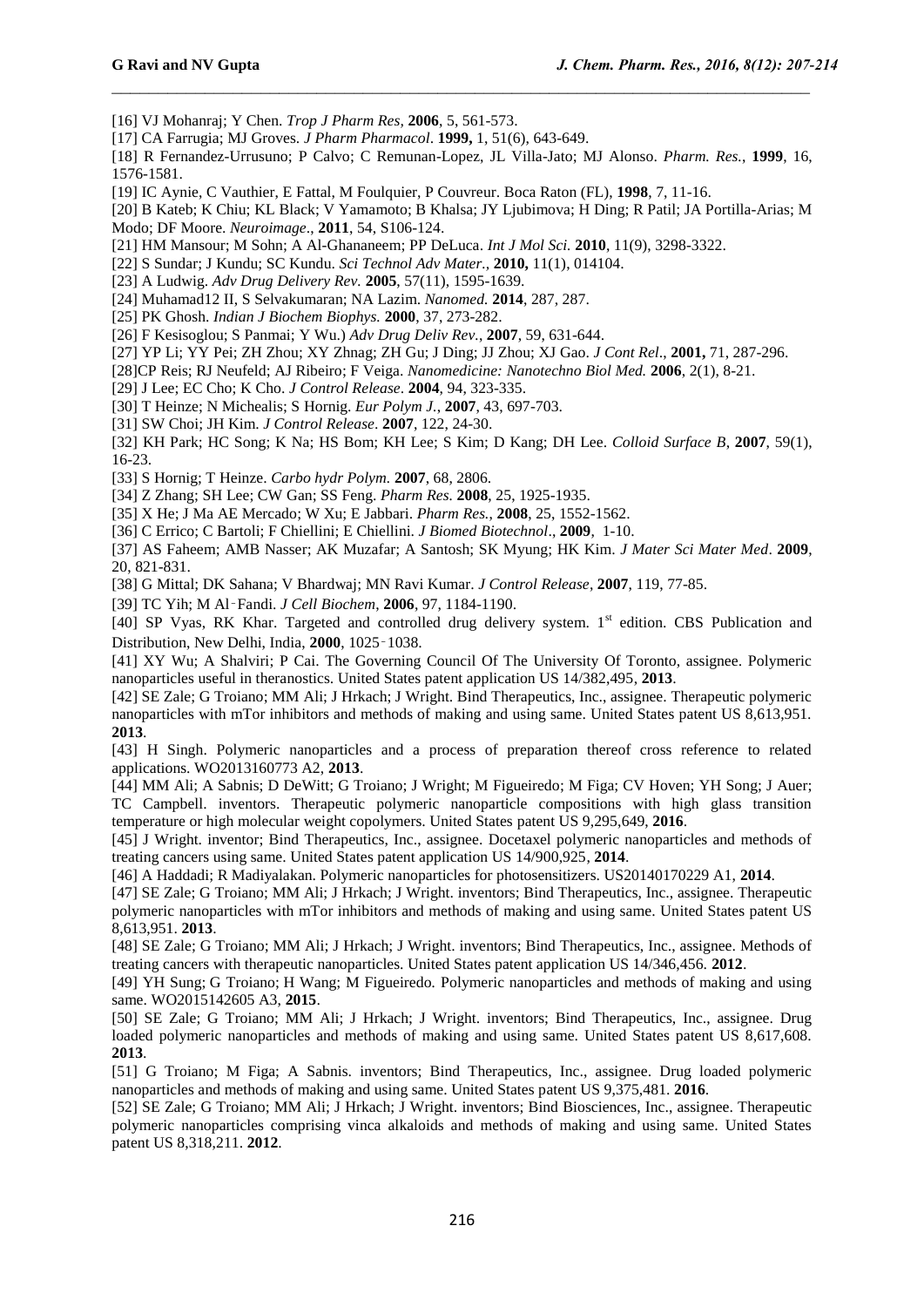- [16] VJ Mohanraj; Y Chen. *Trop J Pharm Res,* **2006**, 5, 561-573.
- [17] CA Farrugia; MJ Groves. *J Pharm Pharmacol*. **1999,** 1, 51(6), 643-649.
- [18] R Fernandez-Urrusuno; P Calvo; C Remunan-Lopez, JL Villa-Jato; MJ Alonso. *Pharm. Res.*, **1999**, 16, 1576-1581.

- [19] IC Aynie, C Vauthier, E Fattal, M Foulquier, P Couvreur. Boca Raton (FL), **1998**, 7, 11-16.
- [20] B Kateb; K Chiu; KL Black; V Yamamoto; B Khalsa; JY Ljubimova; H Ding; R Patil; JA Portilla-Arias; M
- Modo; DF Moore. *Neuroimage*., **2011**, 54, S106-124.
- [21] HM Mansour; M Sohn; A Al-Ghananeem; PP DeLuca. *Int J Mol Sci.* **2010**, 11(9), 3298-3322.
- [22] S Sundar; J Kundu; SC Kundu. *Sci Technol Adv Mater.,* **2010,** 11(1), 014104.
- [23] A Ludwig. *Adv Drug Delivery Rev.* **2005**, 57(11), 1595-1639.
- [24] Muhamad12 II, S Selvakumaran; NA Lazim. *Nanomed.* **2014**, 287, 287.
- [25] PK Ghosh. *Indian J Biochem Biophys.* **2000**, 37, 273-282.
- [26] F Kesisoglou; S Panmai; Y Wu.) *Adv Drug Deliv Rev.*, **2007**, 59, 631-644.
- [27] YP Li; YY Pei; ZH Zhou; XY Zhnag; ZH Gu; J Ding; JJ Zhou; XJ Gao. *J Cont Rel*., **2001,** 71, 287-296.
- [28]CP Reis; RJ Neufeld; AJ Ribeiro; F Veiga. *Nanomedicine: Nanotechno Biol Med.* **2006**, 2(1), 8-21.
- [29] J Lee; EC Cho; K Cho. *J Control Release*. **2004**, 94, 323-335.
- [30] T Heinze; N Michealis; S Hornig. *Eur Polym J.*, **2007**, 43, 697-703.
- [31] SW Choi; JH Kim. *J Control Release*. **2007**, 122, 24-30.

[32] KH Park; HC Song; K Na; HS Bom; KH Lee; S Kim; D Kang; DH Lee. *Colloid Surface B*, **2007**, 59(1), 16-23.

- [33] S Hornig; T Heinze. *Carbo hydr Polym.* **2007**, 68, 2806.
- [34] Z Zhang; SH Lee; CW Gan; SS Feng. *Pharm Res.* **2008**, 25, 1925-1935.
- [35] X He; J Ma AE Mercado; W Xu; E Jabbari. *Pharm Res.*, **2008**, 25, 1552-1562.
- [36] C Errico; C Bartoli; F Chiellini; E Chiellini. *J Biomed Biotechnol*., **2009**, 1-10.
- [37] AS Faheem; AMB Nasser; AK Muzafar; A Santosh; SK Myung; HK Kim. *J Mater Sci Mater Med*. **2009**, 20, 821-831.
- [38] G Mittal; DK Sahana; V Bhardwaj; MN Ravi Kumar. *J Control Release*, **2007**, 119, 77-85.
- [39] TC Yih; M Al‑Fandi. *J Cell Biochem*, **2006**, 97, 1184-1190.
- [40] SP Vyas, RK Khar. Targeted and controlled drug delivery system. 1<sup>st</sup> edition. CBS Publication and Distribution, New Delhi, India, **2000**, 1025‑1038.
- [41] XY Wu; A Shalviri; P Cai. The Governing Council Of The University Of Toronto, assignee. Polymeric nanoparticles useful in theranostics. United States patent application US 14/382,495, **2013**.
- [42] SE Zale; G Troiano; MM Ali; J Hrkach; J Wright. Bind Therapeutics, Inc., assignee. Therapeutic polymeric nanoparticles with mTor inhibitors and methods of making and using same. United States patent US 8,613,951. **2013**.
- [43] [H Singh.](http://www.google.com/search?tbo=p&tbm=pts&hl=en&q=ininventor:%22Harpal+Singh%22) Polymeric nanoparticles and a process of preparation thereof cross reference to related applications. WO2013160773 A2, **2013**.
- [44] MM Ali; A Sabnis; D DeWitt; G Troiano; J Wright; M Figueiredo; M Figa; CV Hoven; YH Song; J Auer; TC Campbell. inventors. Therapeutic polymeric nanoparticle compositions with high glass transition temperature or high molecular weight copolymers. United States patent US 9,295,649, **2016**.
- [45] J Wright. inventor; Bind Therapeutics, Inc., assignee. Docetaxel polymeric nanoparticles and methods of treating cancers using same. United States patent application US 14/900,925, **2014**.
- [46] A Haddadi; R Madiyalakan. Polymeric nanoparticles for photosensitizers. US20140170229 A1, **2014**.
- [47] SE Zale; G Troiano; MM Ali; J Hrkach; J Wright. inventors; Bind Therapeutics, Inc., assignee. Therapeutic polymeric nanoparticles with mTor inhibitors and methods of making and using same. United States patent US 8,613,951. **2013**.
- [48] SE Zale; G Troiano; MM Ali; J Hrkach; J Wright. inventors; Bind Therapeutics, Inc., assignee. Methods of treating cancers with therapeutic nanoparticles. United States patent application US 14/346,456. **2012**.
- [49] [YH Sung;](https://www.google.com/search?tbo=p&tbm=pts&hl=en&q=ininventor:%22Young+Ho+Sung%22) [G Troiano;](https://www.google.com/search?tbo=p&tbm=pts&hl=en&q=ininventor:%22Greg+Troiano%22) [H Wang;](https://www.google.com/search?tbo=p&tbm=pts&hl=en&q=ininventor:%22Hong+Wang%22) [M Figueiredo](https://www.google.com/search?tbo=p&tbm=pts&hl=en&q=ininventor:%22Maria+Figueiredo%22)*.* Polymeric nanoparticles and methods of making and using same. WO2015142605 A3, **2015**.
- [50] SE Zale; G Troiano; MM Ali; J Hrkach; J Wright. inventors; Bind Therapeutics, Inc., assignee. Drug loaded polymeric nanoparticles and methods of making and using same. United States patent US 8,617,608. **2013**.
- [51] G Troiano; M Figa; A Sabnis. inventors; Bind Therapeutics, Inc., assignee. Drug loaded polymeric nanoparticles and methods of making and using same. United States patent US 9,375,481. **2016**.
- [52] SE Zale; G Troiano; MM Ali; J Hrkach; J Wright. inventors; Bind Biosciences, Inc., assignee. Therapeutic polymeric nanoparticles comprising vinca alkaloids and methods of making and using same. United States patent US 8,318,211. **2012**.